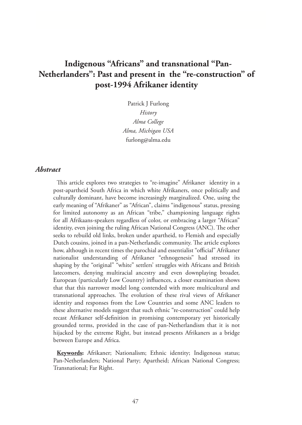# **Indigenous "Africans" and transnational "Pan-Netherlanders": Past and present in the "re-construction" of post-1994 Afrikaner identity**

Patrick J Furlong *History Alma College Alma, Michigan USA* furlong@alma.edu

#### *Abstract*

This article explores two strategies to "re-imagine" Afrikaner identity in a post-apartheid South Africa in which white Afrikaners, once politically and culturally dominant, have become increasingly marginalized. One, using the early meaning of "Afrikaner" as "African", claims "indigenous" status, pressing for limited autonomy as an African "tribe," championing language rights for all Afrikaans-speakers regardless of color, or embracing a larger "African" identity, even joining the ruling African National Congress (ANC). The other seeks to rebuild old links, broken under apartheid, to Flemish and especially Dutch cousins, joined in a pan-Netherlandic community. The article explores how, although in recent times the parochial and essentialist "official" Afrikaner nationalist understanding of Afrikaner "ethnogenesis" had stressed its shaping by the "original" "white" settlers' struggles with Africans and British latecomers, denying multiracial ancestry and even downplaying broader, European (particularly Low Country) influences, a closer examination shows that that this narrower model long contended with more multicultural and transnational approaches. The evolution of these rival views of Afrikaner identity and responses from the Low Countries and some ANC leaders to these alternative models suggest that such ethnic "re-construction" could help recast Afrikaner self-definition in promising contemporary yet historically grounded terms, provided in the case of pan-Netherlandism that it is not hijacked by the extreme Right, but instead presents Afrikaners as a bridge between Europe and Africa.

**Keywords:** Afrikaner; Nationalism; Ethnic identity; Indigenous status; Pan-Netherlanders; National Party; Apartheid; African National Congress; Transnational; Far Right.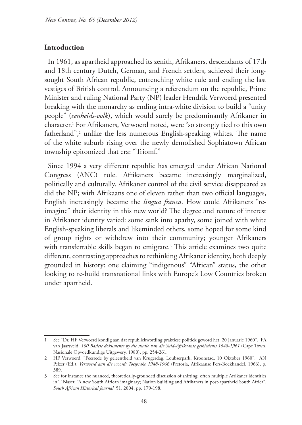# **Introduction**

In 1961, as apartheid approached its zenith, Afrikaners, descendants of 17th and 18th century Dutch, German, and French settlers, achieved their longsought South African republic, entrenching white rule and ending the last vestiges of British control. Announcing a referendum on the republic, Prime Minister and ruling National Party (NP) leader Hendrik Verwoerd presented breaking with the monarchy as ending intra-white division to build a "unity people" (*eenheids-volk*), which would surely be predominantly Afrikaner in character.1 For Afrikaners, Verwoerd noted, were "so strongly tied to this own fatherland",2 unlike the less numerous English-speaking whites. The name of the white suburb rising over the newly demolished Sophiatown African township epitomized that era: "Triomf."

Since 1994 a very different republic has emerged under African National Congress (ANC) rule. Afrikaners became increasingly marginalized, politically and culturally. Afrikaner control of the civil service disappeared as did the NP; with Afrikaans one of eleven rather than two official languages, English increasingly became the *lingua franca*. How could Afrikaners "reimagine" their identity in this new world? The degree and nature of interest in Afrikaner identity varied: some sank into apathy, some joined with white English-speaking liberals and likeminded others, some hoped for some kind of group rights or withdrew into their community; younger Afrikaners with transferrable skills began to emigrate.3 This article examines two quite different, contrasting approaches to rethinking Afrikaner identity, both deeply grounded in history: one claiming "indigenous" "African" status, the other looking to re-build transnational links with Europe's Low Countries broken under apartheid.

<sup>1</sup> See "Dr. HF Verwoerd kondig aan dat republiekwording praktiese politiek geword het, 20 Januarie 1960", FA van Jaarsveld, *100 Basiese dokumente by die studie van die Suid-Afrikaanse geskiedenis 1648-1961* (Cape Town, Nasionale Opvoedkundige Uitgewery, 1980), pp. 254-261.

<sup>2</sup> HF Verwoerd, "Feesrede by geleentheid van Krugerdag, Loubserpark, Kroonstad, 10 Oktober 1960", AN Pelzer (Ed.), *Verwoerd aan die woord: Toesprake 1948-1966* (Pretoria, Afrikaanse Pers-Boekhandel, 1966), p. 389.

<sup>3</sup> See for instance the nuanced, theoretically-grounded discussion of shifting, often multiple Afrikaner identities in T Blaser, "A new South African imaginary; Nation building and Afrikaners in post-apartheid South Africa", *South African Historical Journal,* 51, 2004, pp. 179-198.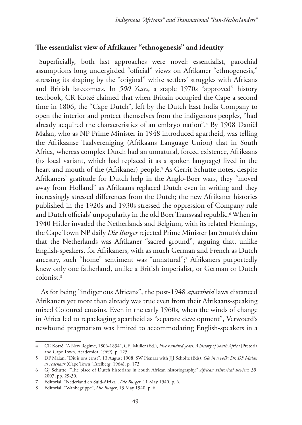## **The essentialist view of Afrikaner "ethnogenesis" and identity**

Superficially, both last approaches were novel: essentialist, parochial assumptions long undergirded "official" views on Afrikaner "ethnogenesis," stressing its shaping by the "original" white settlers' struggles with Africans and British latecomers. In *500 Years*, a staple 1970s "approved" history textbook, CR Kotzé claimed that when Britain occupied the Cape a second time in 1806, the "Cape Dutch", left by the Dutch East India Company to open the interior and protect themselves from the indigenous peoples, "had already acquired the characteristics of an embryo nation".4 By 1908 Daniël Malan, who as NP Prime Minister in 1948 introduced apartheid, was telling the Afrikaanse Taalvereniging (Afrikaans Language Union) that in South Africa, whereas complex Dutch had an unnatural, forced existence, Afrikaans (its local variant, which had replaced it as a spoken language) lived in the heart and mouth of the (Afrikaner) people.5 As Gerrit Schutte notes, despite Afrikaners' gratitude for Dutch help in the Anglo-Boer wars, they "moved away from Holland" as Afrikaans replaced Dutch even in writing and they increasingly stressed differences from the Dutch; the new Afrikaner histories published in the 1920s and 1930s stressed the oppression of Company rule and Dutch officials' unpopularity in the old Boer Transvaal republic.6 When in 1940 Hitler invaded the Netherlands and Belgium, with its related Flemings, the Cape Town NP daily *Die Burger* rejected Prime Minister Jan Smuts's claim that the Netherlands was Afrikaner "sacred ground", arguing that, unlike English-speakers, for Afrikaners, with as much German and French as Dutch ancestry, such "home" sentiment was "unnatural";7 Afrikaners purportedly knew only one fatherland, unlike a British imperialist, or German or Dutch colonist.8

 As for being "indigenous Africans", the post-1948 *apartheid* laws distanced Afrikaners yet more than already was true even from their Afrikaans-speaking mixed Coloured cousins. Even in the early 1960s, when the winds of change in Africa led to repackaging apartheid as "separate development", Verwoerd's newfound pragmatism was limited to accommodating English-speakers in a

<sup>4</sup> CR Kotzé, "A New Regime, 1806-1834", CFJ Muller (Ed.), *Five hundred years: A history of South Africa* (Pretoria and Cape Town, Academica, 1969), p. 125.

<sup>5</sup> DF Malan, "Dit is ons ernst", 13 August 1908, SW Pienaar with JJJ Scholtz (Eds), *Glo in u volk: Dr. DF Malan as redenaar* (Cape Town, Tafelberg, 1964), p. 173.

<sup>6</sup> GJ Schutte, "The place of Dutch historians in South African historiography," *African Historical Review,* 39, 2007, pp. 29-30.

<sup>7</sup> Editorial, "Nederland en Suid-Afrika", *Die Burger*, 11 May 1940, p. 6.

<sup>8</sup> Editorial, "Wanbegrippe", *Die Burger*, 13 May 1940, p. 6.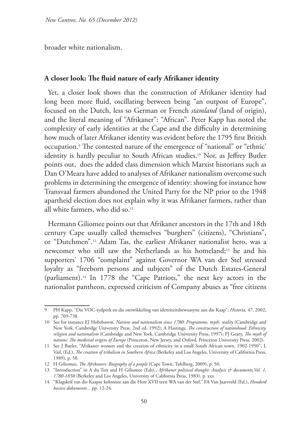broader white nationalism.

#### **A closer look: The fluid nature of early Afrikaner identity**

Yet, a closer look shows that the construction of Afrikaner identity had long been more fluid, oscillating between being "an outpost of Europe", focused on the Dutch, less so German or French *stamland* (land of origin), and the literal meaning of "Afrikaner": "African". Peter Kapp has noted the complexity of early identities at the Cape and the difficulty in determining how much of later Afrikaner identity was evident before the 1795 first British occupation.9 The contested nature of the emergence of "national" or "ethnic' identity is hardly peculiar to South African studies.<sup>10</sup> Nor, as Jeffrey Butler points out, does the added class dimension which Marxist historians such as Dan O'Meara have added to analyses of Afrikaner nationalism overcome such problems in determining the emergence of identity: showing for instance how Transvaal farmers abandoned the United Party for the NP prior to the 1948 apartheid election does not explain why it was Afrikaner farmers, rather than all white farmers, who did so.<sup>11</sup>

Hermann Giliomee points out that Afrikaner ancestors in the 17th and 18th century Cape usually called themselves "burghers" (citizens), "Christians", or "Dutchmen".12 Adam Tas, the earliest Afrikaner nationalist hero, was a newcomer who still saw the Netherlands as his homeland;13 he and his supporters' 1706 "complaint" against Governor WA van der Stel stressed loyalty as "freeborn persons and subjects" of the Dutch Estates-General (parliament).14 In 1778 the "Cape Patriots," the next key actors in the nationalist pantheon, expressed criticism of Company abuses as "free citizens

<sup>9</sup> PH Kapp, "Die VOC-tydperk en die ontwikkeling van identiteitsbewussyne aan die Kaap", *Historia,* 47, 2002, pp. 709-738.

<sup>10</sup> See for instance EJ Hobsbawm, *Nations and nationalism since 1780: Programme, myth, reality* (Cambridge and New York, Cambridge University Press, 2nd ed. 1992); A Hastings, *The construction of nationhood: Ethnicity, religion and nationalism* (Cambridge and New York, Cambridge University Press, 1997); PJ Geary, *The myth of nations: The medieval origins of Europe* (Princeton, New Jersey, and Oxford, Princeton University Press, 2002).

<sup>11</sup> See J Butler, "Afrikaner women and the creation of ethnicity in a small South African town, 1902-1950", L Vail, (Ed.), *The creation of tribalism in Southern Africa* (Berkeley and Los Angeles, University of California Press, 1989), p. 58.

<sup>12</sup> H Giliomee, *The Afrikaners: Biography of a people* (Cape Town, Tafelberg, 2009), p. 50.

<sup>13</sup> "Introduction" in A du Toit and H Giliomee (Eds)., *Afrikaner political thought: Analysis & documents,Vol. 1, 1780-1850* (Berkeley and Los Angeles, University of California Press, 1983), p. xxx.

<sup>14</sup> "Klagskrif van die Kaapse koloniste aan die Here XVII teen WA van der Stel," FA Van Jaarsveld (Ed.), *Honderd basiese dokumente...* pp. 12-24.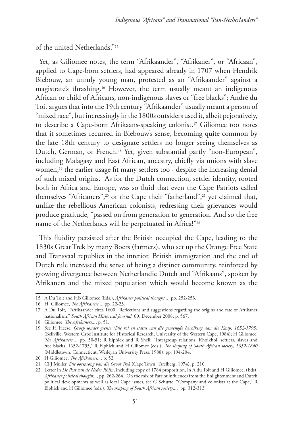of the united Netherlands."15

Yet, as Giliomee notes, the term "Afrikaander", "Afrikaner", or "Africaan", applied to Cape-born settlers, had appeared already in 1707 when Hendrik Biebouw, an unruly young man, protested as an "Afrikaander" against a magistrate's thrashing.16 However, the term usually meant an indigenous African or child of Africans, non-indigenous slaves or "free blacks"; André du Toit argues that into the 19th century "Afrikaander" usually meant a person of "mixed race", but increasingly in the 1800s outsiders used it, albeit pejoratively, to describe a Cape-born Afrikaans-speaking colonist.17 Giliomee too notes that it sometimes recurred in Biebouw's sense, becoming quite common by the late 18th century to designate settlers no longer seeing themselves as Dutch, German, or French.18 Yet, given substantial partly "non-European", including Malagasy and East African, ancestry, chiefly via unions with slave women,<sup>19</sup> the earlier usage fit many settlers too - despite the increasing denial of such mixed origins. As for the Dutch connection, settler identity, rooted both in Africa and Europe, was so fluid that even the Cape Patriots called themselves "Africaners",<sup>20</sup> or the Cape their "fatherland",<sup>21</sup> yet claimed that, unlike the rebellious American colonists, redressing their grievances would produce gratitude, "passed on from generation to generation. And so the free name of the Netherlands will be perpetuated in Africa!"<sup>22</sup>

This fluidity persisted after the British occupied the Cape, leading to the 1830s Great Trek by many Boers (farmers), who set up the Orange Free State and Transvaal republics in the interior. British immigration and the end of Dutch rule increased the sense of being a distinct community, reinforced by growing divergence between Netherlandic Dutch and "Afrikaans", spoken by Afrikaners and the mixed population which would become known as the

<sup>15</sup> A Du Toit and HB Giliomee (Eds.), *Afrikaner political thought...*, pp. 252-253.

<sup>16</sup> H Giliomee, *The Afrikaners*..., pp. 22-23.

<sup>17</sup> A Du Toit, "'Afrikaander circa 1600': Reflections and suggestions regarding the origins and fate of Afrikaner nationalism," *South African Historical Journal,* 60, December 2008, p. 567.

<sup>18</sup> Giliomee, *The Afrikaners...*, p. 51.

<sup>19</sup> See H Heese, *Groep sonder grense (Die rol en status van die gemengde bevolking aan die Kaap, 1652-1795)* (Bellville, Western Cape Institute for Historical Research, University of the Western Cape, 1984); H Giliomee, *The Afrikaners...*, pp. 50-51; R Elphick and R Shell, "Intergroup relations: Khoikhoi, settlers, slaves and free blacks, 1652-1795," R Elphick and H Giliomee (eds.), *The shaping of South African society, 1652-1840* (Middletown, Connecticut, Wesleyan University Press, 1988), pp. 194-204.

<sup>20</sup> H Giliomee, *The Afrikaners...*, p. 52.

<sup>21</sup> CFJ Muller, *Die oorsprong van die Groot Trek* (Cape Town, Tafelberg, 1974), p. 210.

<sup>22</sup> Letter in *De Post van de Neder Rhijn*, including copy of 1784 proposition, in A du Toit and H Giliomee, (Eds), *Afrikaner political thought...,* pp. 262-264. On the mix of Patriot influences from the Enlightenment and Dutch political developments as well as local Cape issues, see G Schutte, "Company and colonists at the Cape," R Elphick and H Giliomee (eds.), *The shaping of South African society*..., pp. 312-313.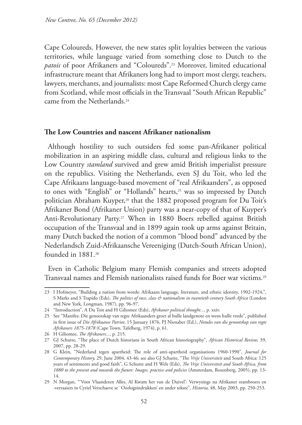Cape Coloureds. However, the new states split loyalties between the various territories, while language varied from something close to Dutch to the *patois* of poor Afrikaners and "Coloureds".23 Moreover, limited educational infrastructure meant that Afrikaners long had to import most clergy, teachers, lawyers, merchants, and journalists: most Cape Reformed Church clergy came from Scotland, while most officials in the Transvaal "South African Republic" came from the Netherlands.<sup>24</sup>

#### **The Low Countries and nascent Afrikaner nationalism**

Although hostility to such outsiders fed some pan-Afrikaner political mobilization in an aspiring middle class, cultural and religious links to the Low Country *stamland* survived and grew amid British imperialist pressure on the republics. Visiting the Netherlands, even SJ du Toit, who led the Cape Afrikaans language-based movement of "real Afrikaanders", as opposed to ones with "English" or "Hollands" hearts,<sup>25</sup> was so impressed by Dutch politician Abraham Kuyper,<sup>26</sup> that the 1882 proposed program for Du Toit's Afrikaner Bond (Afrikaner Union) party was a near-copy of that of Kuyper's Anti-Revolutionary Party.27 When in 1880 Boers rebelled against British occupation of the Transvaal and in 1899 again took up arms against Britain, many Dutch backed the notion of a common "blood bond" advanced by the Nederlandsch Zuid-Afrikaansche Vereeniging (Dutch-South African Union), founded in 1881.<sup>28</sup>

Even in Catholic Belgium many Flemish companies and streets adopted Transvaal names and Flemish nationalists raised funds for Boer war victims.29

<sup>23</sup> I Hofmeyer, "Building a nation from words: Afrikaans language, literature, and ethnic identity, 1902-1924,", S Marks and S Trapido (Eds), *The politics of race, class & nationalism in twentieth century South Africa* (London and New York, Longman, 1987), pp. 96-97.

<sup>24</sup> "Introduction", A Du Toit and H Giliomee (Eds), *Afrikaner political thought...*, p. xxiv.

<sup>25</sup> See "Manifes: Die genootskap van regte Afrikaanders groet al hulle landgenote en wens hulle vrede", published in first issue of *Die Afrikaanse Patriot*, 15 January 1876, PJ Nienaber (Ed.), *Notules van die genootskap van regte Afrikaners 1875-1878* (Cape Town, Tafelberg, 1974), p. 61.

<sup>26</sup> H Giliomee, *The Afrikaners...*, p. 215.

<sup>27</sup> GJ Schutte, "The place of Dutch historians in South African historiography", *African Historical Review,* 39, 2007, pp. 28-29.

<sup>28</sup> G Klein, "Nederland tegen apartheid: The role of anti-apartheid organisations 1960-1990", *Journal for Contemporary History,* 29, June 2004, 43-46; see also GJ Schutte, "The *Vrije Universiteit* and South Africa: 125 years of sentiments and good faith", G Schutte and H Wels (Eds), *The Vrije Universiteit and South Africa, from 1880 to the present and towards the future: Images, practice and policies* (Amsterdam, Rozenberg, 2005), pp. 13- 14.

<sup>29</sup> N Morgan, "'Voor Vlaanderen Alles, Al Kwam het van de Duivel': Verwysings na Afrikaner stambroers en -verraaiers in Cyriel Verschaeve se `Oorlogsindrukken' en ander tekste", *Historia,* 48, May 2003, pp. 250-253.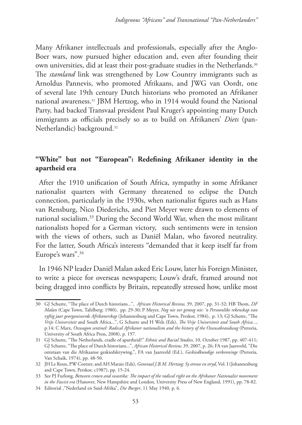Many Afrikaner intellectuals and professionals, especially after the Anglo-Boer wars, now pursued higher education and, even after founding their own universities, did at least their post-graduate studies in the Netherlands.30 The *stamland* link was strengthened by Low Country immigrants such as Arnoldus Pannevis, who promoted Afrikaans, and JWG van Oordt, one of several late 19th century Dutch historians who promoted an Afrikaner national awareness.31 JBM Hertzog, who in 1914 would found the National Party, had backed Transvaal president Paul Kruger's appointing many Dutch immigrants as officials precisely so as to build on Afrikaners' *Diets* (pan-Netherlandic) background.32

# **"White" but not "European": Redefining Afrikaner identity in the apartheid era**

After the 1910 unification of South Africa, sympathy in some Afrikaner nationalist quarters with Germany threatened to eclipse the Dutch connection, particularly in the 1930s, when nationalist figures such as Hans van Rensburg, Nico Diederichs, and Piet Meyer were drawn to elements of national socialism.33 During the Second World War, when the most militant nationalists hoped for a German victory, such sentiments were in tension with the views of others, such as Daniël Malan, who favored neutrality. For the latter, South Africa's interests "demanded that it keep itself far from Europe's wars".34

In 1946 NP leader Daniël Malan asked Eric Louw, later his Foreign Minister, to write a piece for overseas newspapers; Louw's draft, framed around not being dragged into conflicts by Britain, repeatedly stressed how, unlike most

<sup>30</sup> GJ Schutte, "The place of Dutch historians...", *African Historical Review,* 39, 2007, pp. 31-32; HB Thom, *DF Malan* (Cape Town, Tafelberg: 1980), pp. 29-30; P Meyer, *Nog nie ver genoeg nie: 'n Persoonlike rekenskap van vyftig jaar georganiseerde Afrikanerskap* (Johannesburg and Cape Town, Perskor, 1984), p. 13; GJ Schutte, "The *Vrije Universiteit* and South Africa...", G Schutte and H Wels (Eds), *The Vrije Universiteit and South Africa...*, p.14; C Marx, *Oxwagon sentinel: Radical Afrikaner nationalism and the history of the Ossewabrandwag* (Pretoria, University of South Africa Press, 2008), p. 197.

<sup>31</sup> GJ Schutte, "The Netherlands, cradle of apartheid?" *Ethnic and Racial Studies,* 10, October 1987, pp. 407-411; GJ Schutte, "The place of Dutch historians...", *African Historical Review,* 39, 2007, p. 26; FA van Jaarsveld, "Die ontstaan van die Afrikaanse geskiedskrywing,", FA van Jaarsveld (Ed.), *Geskiedkundige verkenninge* (Pretoria, Van Schaik, 1974), pp. 48-50.

<sup>32</sup> JH Le Roux, PW Coetzer, and AH Marais (Eds), *Generaal J.B.M. Hertzog: Sy strewe en stryd*, Vol. I (Johannesburg and Cape Town, Perskor, c1987), pp. 15-24.

<sup>33</sup> See PJ Furlong, *Between crown and swastika: The impact of the radical right on the Afrikaner Nationalist movement in the Fascist era* (Hanover, New Hampshire and London, University Press of New England, 1991), pp. 78-82.

<sup>34</sup> Editorial ,"Nederland en Suid-Afrika", *Die Burger*, 11 May 1940, p. 6.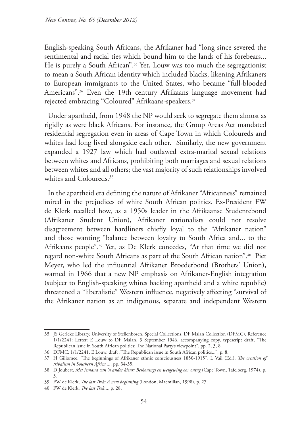English-speaking South Africans, the Afrikaner had "long since severed the sentimental and racial ties which bound him to the lands of his forebears... He is purely a South African".35 Yet, Louw was too much the segregationist to mean a South African identity which included blacks, likening Afrikaners to European immigrants to the United States, who became "full-blooded Americans".36 Even the 19th century Afrikaans language movement had rejected embracing "Coloured" Afrikaans-speakers.<sup>37</sup>

Under apartheid, from 1948 the NP would seek to segregate them almost as rigidly as were black Africans. For instance, the Group Areas Act mandated residential segregation even in areas of Cape Town in which Coloureds and whites had long lived alongside each other. Similarly, the new government expanded a 1927 law which had outlawed extra-marital sexual relations between whites and Africans, prohibiting both marriages and sexual relations between whites and all others; the vast majority of such relationships involved whites and Coloureds.<sup>38</sup>

In the apartheid era defining the nature of Afrikaner "Africanness" remained mired in the prejudices of white South African politics. Ex-President FW de Klerk recalled how, as a 1950s leader in the Afrikaanse Studentebond (Afrikaner Student Union), Afrikaner nationalists could not resolve disagreement between hardliners chiefly loyal to the "Afrikaner nation" and those wanting "balance between loyalty to South Africa and... to the Afrikaans people".39 Yet, as De Klerk concedes, "At that time we did not regard non-white South Africans as part of the South African nation".40 Piet Meyer, who led the influential Afrikaner Broederbond (Brothers' Union), warned in 1966 that a new NP emphasis on Afrikaner-English integration (subject to English-speaking whites backing apartheid and a white republic) threatened a "liberalistic" Western influence, negatively affecting "survival of the Afrikaner nation as an indigenous, separate and independent Western

<sup>35</sup> JS Gericke Library, University of Stellenbosch, Special Collections, DF Malan Collection (DFMC), Reference 1/1/2241: Letter: E Louw to DF Malan, 3 September 1946, accompanying copy, typescript draft, "The Republican issue in South African politics: The National Party's viewpoint", pp. 2, 3, 8.

<sup>36</sup> DFMC: 1/1/2241, E Louw, draft ,"The Republican issue in South African politics...", p. 8.

<sup>37</sup> H Giliomee, "The beginnings of Afrikaner ethnic consciousness 1850-1915", L Vail (Ed.), *The creation of tribalism in Southern Africa....,* pp. 34-35.

<sup>38</sup> D Joubert, *Met iemand van 'n ander kleur: Beskouings en wetgewing oor ontug* (Cape Town, Tafelberg, 1974), p. 3.

<sup>39</sup> FW de Klerk, *The last Trek: A new beginning* (London, Macmillan, 1998), p. 27.

<sup>40</sup> FW de Klerk, *The last Trek*..., p. 28.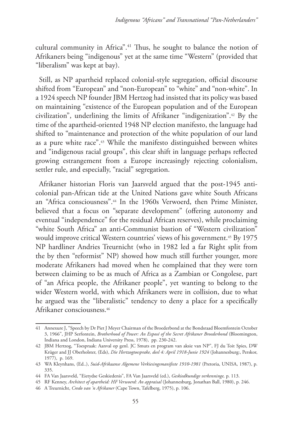cultural community in Africa".41 Thus, he sought to balance the notion of Afrikaners being "indigenous" yet at the same time "Western" (provided that "liberalism" was kept at bay).

Still, as NP apartheid replaced colonial-style segregation, official discourse shifted from "European" and "non-European" to "white" and "non-white". In a 1924 speech NP founder JBM Hertzog had insisted that its policy was based on maintaining "existence of the European population and of the European civilization", underlining the limits of Afrikaner "indigenization".42 By the time of the apartheid-oriented 1948 NP election manifesto, the language had shifted to "maintenance and protection of the white population of our land as a pure white race".43 While the manifesto distinguished between whites and "indigenous racial groups", this clear shift in language perhaps reflected growing estrangement from a Europe increasingly rejecting colonialism, settler rule, and especially, "racial" segregation.

Afrikaner historian Floris van Jaarsveld argued that the post-1945 anticolonial pan-African tide at the United Nations gave white South Africans an "Africa consciousness".44 In the 1960s Verwoerd, then Prime Minister, believed that a focus on "separate development" (offering autonomy and eventual "independence" for the residual African reserves), while proclaiming "white South Africa" an anti-Communist bastion of "Western civilization" would improve critical Western countries' views of his government.<sup>45</sup> By 1975 NP hardliner Andries Treurnicht (who in 1982 led a far Right split from the by then "reformist" NP) showed how much still further younger, more moderate Afrikaners had moved when he complained that they were torn between claiming to be as much of Africa as a Zambian or Congolese, part of "an Africa people, the Afrikaner people", yet wanting to belong to the wider Western world, with which Afrikaners were in collision, due to what he argued was the "liberalistic" tendency to deny a place for a specifically Afrikaner consciousness.46

<sup>41</sup> Annexure J, "Speech by Dr Piet J Meyer Chairman of the Broederbond at the Bondsraad Bloemfontein October 3, 1966", JHP Serfontein, *Brotherhood of Power: An Exposé of the Secret Afrikaner Broederbond* (Bloomington, Indiana and London, Indiana University Press, 1978), pp. 230-242.

<sup>42</sup> JBM Hertzog, "Toespraak: Aanval op genl. JC Smuts en program van aksie van NP", FJ du Toit Spies, DW Krüger and JJ Oberholster, (Eds), *Die Hertzogtoesprake, deel 4: April 1918-Junie 1924* (Johannesburg:, Perskor, 1977), p. 169.

<sup>43</sup> WA Kleynhans, (Ed..), *Suid-Afrikaanse Algemene Verkiesingsmanifeste 1910-1981* (Pretoria, UNISA, 1987), p. 335.

<sup>44</sup> FA Van Jaarsveld, "Eietydse Geskiedenis", FA Van Jaarsveld (ed.), *Geskiedkundige verkenninge,* p. 113.

<sup>45</sup> RF Kenney, *Architect of apartheid: HF Verwoerd: An appraisal* (Johannesburg, Jonathan Ball, 1980), p. 246.

<sup>46</sup> A Treurnicht, *Credo van 'n Afrikaner* (Cape Town, Tafelberg, 1975), p. 106.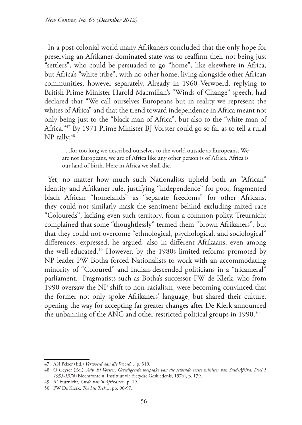In a post-colonial world many Afrikaners concluded that the only hope for preserving an Afrikaner-dominated state was to reaffirm their not being just "settlers", who could be persuaded to go "home", like elsewhere in Africa, but Africa's "white tribe", with no other home, living alongside other African communities, however separately. Already in 1960 Verwoerd, replying to British Prime Minister Harold Macmillan's "Winds of Change" speech, had declared that "We call ourselves Europeans but in reality we represent the whites of Africa" and that the trend toward independence in Africa meant not only being just to the "black man of Africa", but also to the "white man of Africa."47 By 1971 Prime Minister BJ Vorster could go so far as to tell a rural NP rally:48

...for too long we described ourselves to the world outside as Europeans. We are not Europeans, we are of Africa like any other person is of Africa. Africa is our land of birth. Here in Africa we shall die.

Yet, no matter how much such Nationalists upheld both an "African" identity and Afrikaner rule, justifying "independence" for poor, fragmented black African "homelands" as "separate freedoms" for other Africans, they could not similarly mask the sentiment behind excluding mixed race "Coloureds", lacking even such territory, from a common polity. Treurnicht complained that some "thoughtlessly" termed them "brown Afrikaners", but that they could not overcome "ethnological, psychological, and sociological" differences, expressed, he argued, also in different Afrikaans, even among the well-educated.49 However, by the 1980s limited reforms promoted by NP leader PW Botha forced Nationalists to work with an accommodating minority of "Coloured" and Indian-descended politicians in a "tricameral" parliament. Pragmatists such as Botha's successor FW de Klerk, who from 1990 oversaw the NP shift to non-racialism, were becoming convinced that the former not only spoke Afrikaners' language, but shared their culture, opening the way for accepting far greater changes after De Klerk announced the unbanning of the ANC and other restricted political groups in 1990.<sup>50</sup>

<sup>47</sup> AN Pelzer (Ed.) *Verwoerd aan die Woord...*, p. 319.

<sup>48</sup> O Geyser (Ed.), *Adv. BJ Vorster: Geredigeerde toesprake van die sewende eerste minister van Suid-Afrika: Deel 1 1953-1974* (Bloemfontein, Instituut vir Eietydse Geskiedenis, 1976), p. 179.

<sup>49</sup> A Treurnicht, *Credo van 'n Afrikaner*, p. 19.

<sup>50</sup> FW De Klerk, *The last Trek...*, pp. 96-97.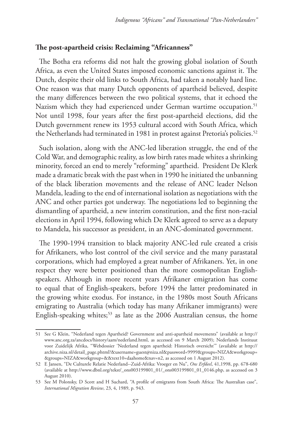## **The post-apartheid crisis: Reclaiming "Africanness"**

The Botha era reforms did not halt the growing global isolation of South Africa, as even the United States imposed economic sanctions against it. The Dutch, despite their old links to South Africa, had taken a notably hard line. One reason was that many Dutch opponents of apartheid believed, despite the many differences between the two political systems, that it echoed the Nazism which they had experienced under German wartime occupation.<sup>51</sup> Not until 1998, four years after the first post-apartheid elections, did the Dutch government renew its 1953 cultural accord with South Africa, which the Netherlands had terminated in 1981 in protest against Pretoria's policies.<sup>52</sup>

Such isolation, along with the ANC-led liberation struggle, the end of the Cold War, and demographic reality, as low birth rates made whites a shrinking minority, forced an end to merely "reforming" apartheid. President De Klerk made a dramatic break with the past when in 1990 he initiated the unbanning of the black liberation movements and the release of ANC leader Nelson Mandela, leading to the end of international isolation as negotiations with the ANC and other parties got underway. The negotiations led to beginning the dismantling of apartheid, a new interim constitution, and the first non-racial elections in April 1994, following which De Klerk agreed to serve as a deputy to Mandela, his successor as president, in an ANC-dominated government.

The 1990-1994 transition to black majority ANC-led rule created a crisis for Afrikaners, who lost control of the civil service and the many parastatal corporations, which had employed a great number of Afrikaners. Yet, in one respect they were better positioned than the more cosmopolitan Englishspeakers. Although in more recent years Afrikaner emigration has come to equal that of English-speakers, before 1994 the latter predominated in the growing white exodus. For instance, in the 1980s most South Africans emigrating to Australia (which today has many Afrikaner immigrants) were English-speaking whites;<sup>53</sup> as late as the 2006 Australian census, the home

<sup>51</sup> See G Klein, "Nederland tegen Apartheid? Government and anti-apartheid movements" (available at http:// www.anc.org.za/ancdocs/history/aam/nederland.html, as accessed on 9 March 2009); Nederlands Instituut voor Zuidelijk Afrika, "Webdossier 'Nederland tegen apartheid: Historisch oversicht'" (available at http:// archive.niza.nl/detail\_page.phtml?&username=guest@niza.nl&password=9999&groups=NIZA&workgroup= &groups=NIZA&workgroup=&&text10=daahome&nav=n2, as accessed on 1 August 2012).

<sup>52</sup> E Jansen, "De Culturele Relatie Nederland--Zuid-Afrika: Vroeger en Nu", *Ons Erfdeel*, 41,1998, pp. 678-680 (available at http://www.dbnl.org/tekst/\_ons003199801\_01/\_ons003199801\_01\_0146.php, as accessed on 3 August 2010).

<sup>53</sup> See M Polonsky, D Scott and H Suchard, "A profile of emigrants from South Africa: The Australian case", *International Migration Review*, 23, 4, 1989, p. 943.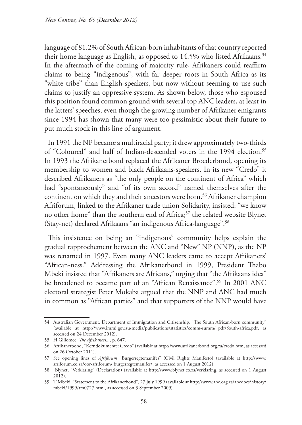language of 81.2% of South African-born inhabitants of that country reported their home language as English, as opposed to 14.5% who listed Afrikaans.<sup>54</sup> In the aftermath of the coming of majority rule, Afrikaners could reaffirm claims to being "indigenous", with far deeper roots in South Africa as its "white tribe" than English-speakers, but now without seeming to use such claims to justify an oppressive system. As shown below, those who espoused this position found common ground with several top ANC leaders, at least in the latters' speeches, even though the growing number of Afrikaner emigrants since 1994 has shown that many were too pessimistic about their future to put much stock in this line of argument.

In 1991 the NP became a multiracial party; it drew approximately two-thirds of "Coloured" and half of Indian-descended voters in the 1994 election.<sup>55</sup> In 1993 the Afrikanerbond replaced the Afrikaner Broederbond, opening its membership to women and black Afrikaans-speakers. In its new "Credo" it described Afrikaners as "the only people on the continent of Africa" which had "spontaneously" and "of its own accord" named themselves after the continent on which they and their ancestors were born.<sup>56</sup> Afrikaner champion Afriforum, linked to the Afrikaner trade union Solidarity, insisted: "we know no other home" than the southern end of Africa;<sup>57</sup> the related website Blynet (Stay-net) declared Afrikaans "an indigenous Africa-language".58

This insistence on being an "indigenous" community helps explain the gradual rapprochement between the ANC and "New" NP (NNP), as the NP was renamed in 1997. Even many ANC leaders came to accept Afrikaners' "African-ness." Addressing the Afrikanerbond in 1999, President Thabo Mbeki insisted that "Afrikaners are Africans," urging that "the Afrikaans idea" be broadened to became part of an "African Renaissance".<sup>59</sup> In 2001 ANC electoral strategist Peter Mokaba argued that the NNP and ANC had much in common as "African parties" and that supporters of the NNP would have

<sup>54</sup> Australian Government, Department of Immigration and Citizenship, "The South African-born community" (available at http://www.immi.gov.au/media/publications/statistics/comm-summ/\_pdf/South-africa.pdf, as accessed on 24 December 2012).

<sup>55</sup> H Giliomee, *The Afrikaners...*, p. 647.

<sup>56</sup> Afrikanerbond, "Kerndokumente: Credo" (available at http://www.afrikanerbond.org.za/credo.htm, as accessed on 26 October 2011).

<sup>57</sup> See opening lines of *Afriforum* "Burgerregtemanifes" (Civil Rights Manifesto) (available at http://www. afriforum.co.za/oor-afriforum/ burgerregtemanifes/, as accessed on 1 August 2012).

<sup>58</sup> Blynet, "Verklaring" (Declaration) (available at http://www.blynet.co.za/verklaring, as accessed on 1 August 2012).

<sup>59</sup> T Mbeki, "Statement to the Afrikanerbond", 27 July 1999 (available at http://www.anc.org.za/ancdocs/history/ mbeki/1999/tm0727.html, as accessed on 3 September 2009).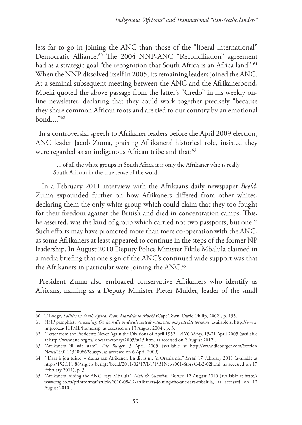less far to go in joining the ANC than those of the "liberal international" Democratic Alliance.<sup>60</sup> The 2004 NNP-ANC "Reconciliation" agreement had as a strategic goal "the recognition that South Africa is an Africa land".<sup>61</sup> When the NNP dissolved itself in 2005, its remaining leaders joined the ANC. At a seminal subsequent meeting between the ANC and the Afrikanerbond, Mbeki quoted the above passage from the latter's "Credo" in his weekly online newsletter, declaring that they could work together precisely "because they share common African roots and are tied to our country by an emotional  $bond.$ ..." $62$ 

In a controversial speech to Afrikaner leaders before the April 2009 election, ANC leader Jacob Zuma, praising Afrikaners' historical role, insisted they were regarded as an indigenous African tribe and that:<sup>63</sup>

... of all the white groups in South Africa it is only the Afrikaner who is really South African in the true sense of the word.

 In a February 2011 interview with the Afrikaans daily newspaper *Beeld*, Zuma expounded further on how Afrikaners differed from other whites, declaring them the only white group which could claim that they too fought for their freedom against the British and died in concentration camps. This, he asserted, was the kind of group which carried not two passports, but one.<sup>64</sup> Such efforts may have promoted more than mere co-operation with the ANC, as some Afrikaners at least appeared to continue in the steps of the former NP leadership. In August 2010 Deputy Police Minister Fikile Mbalula claimed in a media briefing that one sign of the ANC's continued wide support was that the Afrikaners in particular were joining the ANC.<sup>65</sup>

President Zuma also embraced conservative Afrikaners who identify as Africans, naming as a Deputy Minister Pieter Mulder, leader of the small

<sup>60</sup> T Lodge, *Politics in South Africa: From Mandela to Mbeki* (Cape Town, David Philip, 2002), p. 155.

<sup>61</sup> NNP pamphlet, *Versoening: Oorkom die verdeelde verlede - aanvaar ons gedeelde toekoms* (available at http://www. nnp.co.za/ HTML/home,asp, as accessed on 13 August 2004), p. 3.

<sup>62</sup> "Letter from the President: Never Again the Divisions of April 1952", *ANC Today*, 15-21 April 2005 (available at http://www.anc.org.za/ docs/anctoday/2005/at15.htm, as accessed on 2 August 2012).

<sup>63</sup> "Afrikaners 'ál wit stam", *Die Burger*, 3 April 2009 (available at http://www.dieburger.com/Stories/ News/19.0.1434008628.aspx, as accessed on 6 April 2009).

<sup>64</sup> "'Dáár is jou tuiste' – Zuma aan Afrikaner: En dit is nie 'n Orania nie," *Beeld*, 17 February 2011 (available at http://152.111.88/argief/ berigte/beeld/2011/02/17/B1/1/B1News001-StoryC-B2-02html, as accessed on 17 February 2011), p. 3.

<sup>65</sup> "Afrikaners joining the ANC, says Mbalula", *Mail & Guardian Online,* 12 August 2010 (available at http:// www.mg.co.za/printformat/article/2010-08-12-afrikaners-joining-the-anc-says-mbalula, as accessed on 12 August 2010).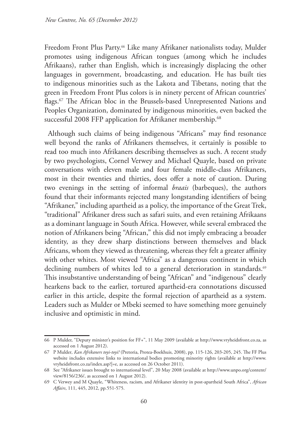Freedom Front Plus Party.66 Like many Afrikaner nationalists today, Mulder promotes using indigenous African tongues (among which he includes Afrikaans), rather than English, which is increasingly displacing the other languages in government, broadcasting, and education*.* He has built ties to indigenous minorities such as the Lakota and Tibetans, noting that the green in Freedom Front Plus colors is in ninety percent of African countries' flags.67 The African bloc in the Brussels-based Unrepresented Nations and Peoples Organization, dominated by indigenous minorities, even backed the successful 2008 FFP application for Afrikaner membership.<sup>68</sup>

Although such claims of being indigenous "Africans" may find resonance well beyond the ranks of Afrikaners themselves, it certainly is possible to read too much into Afrikaners describing themselves as such. A recent study by two psychologists, Cornel Verwey and Michael Quayle, based on private conversations with eleven male and four female middle-class Afrikaners, most in their twenties and thirties, does offer a note of caution. During two evenings in the setting of informal *braais* (barbeques), the authors found that their informants rejected many longstanding identifiers of being "Afrikaner," including apartheid as a policy, the importance of the Great Trek, "traditional" Afrikaner dress such as safari suits, and even retaining Afrikaans as a dominant language in South Africa. However, while several embraced the notion of Afrikaners being "African," this did not imply embracing a broader identity, as they drew sharp distinctions between themselves and black Africans, whom they viewed as threatening, whereas they felt a greater affinity with other whites. Most viewed "Africa" as a dangerous continent in which declining numbers of whites led to a general deterioration in standards.<sup>69</sup> This insubstantive understanding of being "African" and "indigenous" clearly hearkens back to the earlier, tortured apartheid-era connotations discussed earlier in this article, despite the formal rejection of apartheid as a system. Leaders such as Mulder or Mbeki seemed to have something more genuinely inclusive and optimistic in mind.

<sup>66</sup> P Mulder, "Deputy minister's position for FF+", 11 May 2009 (available at http://www.vryheidsfront.co.za, as accessed on 1 August 2012).

<sup>67</sup> P Mulder*, Kan Afrikaners toyi-toyi?* (Pretoria, Protea-Boekhuis, 2008), pp. 115-126, 203-205, 245. The FF Plus website includes extensive links to international bodies promoting minority rights (available at http://www. vryheidsfront.co.za/index.asp?|=e, as accessed on 26 October 2011).

<sup>68</sup> See "Afrikaner issues brought to international level", 20 May 2008 (available at http://www.unpo.org/content/ view/8156/236/, as accessed on 1 August 2012).

<sup>69</sup> C Verwey and M Quayle, "Whiteness, racism, and Afrikaner identity in post-apartheid South Africa", *African Affairs*, 111, 445, 2012, pp.551-575.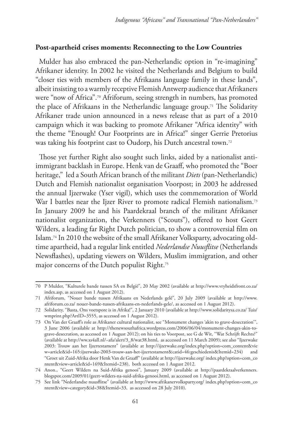# **Post-apartheid crises moments: Reconnecting to the Low Countries**

Mulder has also embraced the pan-Netherlandic option in "re-imagining" Afrikaner identity. In 2002 he visited the Netherlands and Belgium to build "closer ties with members of the Afrikaans language family in these lands", albeit insisting to a warmly receptive Flemish Antwerp audience that Afrikaners were "now of Africa".<sup>70</sup> Afriforum, seeing strength in numbers, has promoted the place of Afrikaans in the Netherlandic language group.71 The Solidarity Afrikaner trade union announced in a news release that as part of a 2010 campaign which it was backing to promote Afrikaner "Africa identity" with the theme "Enough! Our Footprints are in Africa!" singer Gerrie Pretorius was taking his footprint cast to Oudorp, his Dutch ancestral town.72

Those yet further Right also sought such links, aided by a nationalist antiimmigrant backlash in Europe. Henk van de Graaff, who promoted the "Boer heritage," led a South African branch of the militant *Diets* (pan-Netherlandic) Dutch and Flemish nationalist organisation Voorpost; in 2003 he addressed the annual Ijzerwake (Yser vigil), which uses the commemoration of World War I battles near the Ijzer River to promote radical Flemish nationalism.<sup>73</sup> In January 2009 he and his Paardekraal branch of the militant Afrikaner nationalist organization, the Verkenners ("Scouts"), offered to host Geert Wilders, a leading far Right Dutch politician, to show a controversial film on Islam.74 In 2010 the website of the small Afrikaner Volksparty, advocating oldtime apartheid, had a regular link entitled *Nederlandse Nuusflitse* (Netherlands Newsflashes), updating viewers on Wilders, Muslim immigration, and other major concerns of the Dutch populist Right.75

<sup>70</sup> P Mulder, "Kulturele bande tussen SA en België", 20 May 2002 (available at http://www.vryheidsfront.co.za/ index.asp, as accessed on 1 August 2012).

<sup>71</sup> Afriforum, "Nouer bande tussen Afrikaans en Nederlands gelê", 20 July 2009 (available at http://www. afriforum.co.za/ nouer-bande-tussen-afrikaans-en-nederlands-gele/, as accessed on 1 August 2012).

<sup>72</sup> Solidarity, "Basta, Ons voetspore is in Afrika!", 2 January 2010 (available at http://www.solidaritysa.co.za/ Tuis/ wmprint.php?ArtID=3555, as accessed on 1 August 2012).

<sup>73</sup> On Van der Graaff's role as Afrikaner cultural nationalist, see "Monument changes 'akin to grave-desecration'", 3 June 2006 (available at http://thenewsouthafrica.wordpress.com/2006/06/04/monument-changes-akin-tograve-desecration, as accessed on 1 August 2012); on his ties to Voorpost, see G de Wit, "Wat Schrijft Rechts?" (available at http://ww.xs4all.nl/~afa/alert/3\_8/wat38.html, as accessed on 11 March 2009); see also "Ijzerwake 2003: Trouw aan het Ijzertestament" (available at http://ijzerwake.org/index.php?option=com\_content&vie w=article&id=165:ijzerwake-2003-trouw-aan-het-ijzertestament&catid=46:geschiedenis&Itemid=234) and "Groet uit Zuid-Afrika door Henk Van de Graaff" (available at http://ijzerwake.org/ index.php?option=com\_co ntent&view=article&id=169&Itemid=238), both accessed on 1 August 2012.

<sup>74</sup> Anon., "Geert Wilders na Suid-Afrika genooi", January 2009 (available at http://paardekraalverkenners. blogspot.com/2009/01/geert-wilders-na-suid-afrika-genooi.html, as accessed on 1 August 2012).

<sup>75</sup> See link "Nederlandse nuusflitse" (available at http://www.afrikanervolksparty.org/ index.php?option=com\_co ntent&view=category&id=38&Itemid=33, as accessed on 28 July 2010).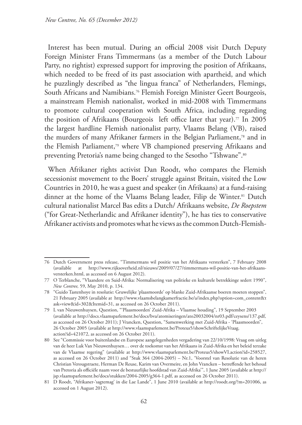Interest has been mutual. During an official 2008 visit Dutch Deputy Foreign Minister Frans Timmermans (as a member of the Dutch Labour Party, no rightist) expressed support for improving the position of Afrikaans, which needed to be freed of its past association with apartheid, and which he puzzlingly described as "the lingua franca" of Netherlanders, Flemings, South Africans and Namibians.76 Flemish Foreign Minister Geert Bourgeois, a mainstream Flemish nationalist, worked in mid-2008 with Timmermans to promote cultural cooperation with South Africa, including regarding the position of Afrikaans (Bourgeois left office later that year).<sup>77</sup> In 2005 the largest hardline Flemish nationalist party, Vlaams Belang (VB), raised the murders of many Afrikaner farmers in the Belgian Parliament,78 and in the Flemish Parliament,79 where VB championed preserving Afrikaans and preventing Pretoria's name being changed to the Sesotho "Tshwane".<sup>80</sup>

When Afrikaner rights activist Dan Roodt, who compares the Flemish secessionist movement to the Boers' struggle against Britain, visited the Low Countries in 2010, he was a guest and speaker (in Afrikaans) at a fund-raising dinner at the home of the Vlaams Belang leader, Filip de Winter.<sup>81</sup> Dutch cultural nationalist Marcel Bas edits a Dutch/ Afrikaans website, *De Roepstem* ("for Great-Netherlandic and Afrikaner identity"), he has ties to conservative Afrikaner activists and promotes what he views as the common Dutch-Flemish-

<sup>76</sup> Dutch Government press release, "Timmermans wil positie van het Afrikaans versterken", 7 February 2008 (available at http://www.rijksoverheid.nl/nieuws/2009/07/27/timmermans-wil-positie-van-het-afrikaansversterken.html, as accessed on 6 August 2012).

<sup>77</sup> O Terblanche, "Vlaandere en Suid-Afrika: Normalisering van politieke en kulturele betrekkinge sedert 1990", *New Contree,* 59, May 2010, p. 134.

<sup>78</sup> "Guido Tastenhoye in resolutie: Gruwelijke 'plaasmoorde' op blanke Zuid-Afrikaanse boeren moeten stoppen", 21 February 2005 (available at http://www.vlaamsbelangkamerfractie.be/a/index.php?option=com\_content&t ask=view&id=302&Itemid=31, as accessed on 26 October 2011).

<sup>79</sup> L van Nieuwenhuysen, Question, "'Plaasmoorden' Zuid-Afrika – Vlaamse houding", 19 September 2003 (available at http://docs.vlaamsparlement.be/docs/bva/atomiseringen/ato20032004/nr03.pdf/ceysens/137.pdf, as accessed on 26 October 2011); J Vrancken, Question, "Samenwerking met Zuid-Afrika - 'Plaasmoorden", 26 October 2005 (available at http://www.vlaamsparlement.be/Proteus5/showSchriftelijkeVraag. action?id=421072, as accessed on 26 October 2011).

<sup>80</sup> See "Commissie voor buitenlandse en Europese aangelegenheden vergadering van 22/10/1998: Vraag om uitleg van de heer Luk Van Nieuwenhuysen… over de toekomst van het Afrikaans in Zuid-Afrika en het beleid terzake van de Vlaamse regering" (available at http://www.vlaamsparlement.be/Proteus5/showVI.action?id=258527, as accessed on 26 October 2011) and "Stuk 364 (2004-2005) – Nr.1, 'Voorstel van Resolutie van de heren Christian Verougstraete, Herman De Reuse, Karim van Overmeire, en John Vrancken – betreffende het behoud van Pretoria als officiële naam voor de bestuurlijke hoofdstad van Zuid-Afrika'", 1 June 2005 (available at http:// jsp.vlaamsparlement.be/docs/stukken/2004-2005/g364-1.pdf, as accessed on 26 October 2011).

<sup>81</sup> D Roodt, "Afrikaner-'sagtemag' in die Lae Lande", 1 June 2010 (available at http://roodt.org/?m=201006, as accessed on 1 August 2012).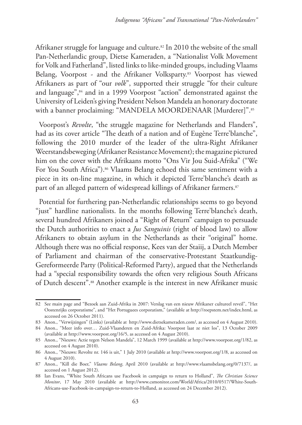Afrikaner struggle for language and culture.<sup>82</sup> In 2010 the website of the small Pan-Netherlandic group, Dietse Kameraden, a "Nationalist Volk Movement for Volk and Fatherland", listed links to like-minded groups, including Vlaams Belang, Voorpost - and the Afrikaner Volksparty.<sup>83</sup> Voorpost has viewed Afrikaners as part of "our *volk*", supported their struggle "for their culture and language",<sup>84</sup> and in a 1999 Voorpost "action" demonstrated against the University of Leiden's giving President Nelson Mandela an honorary doctorate with a banner proclaiming: "MANDELA MOORDENAAR [Murderer]". 85

Voorpost's *Revolte*, "the struggle magazine for Netherlands and Flanders", had as its cover article "The death of a nation and of Eugène Terre'blanche", following the 2010 murder of the leader of the ultra-Right Afrikaner Weerstandsbeweging (Afrikaner Resistance Movement); the magazine pictured him on the cover with the Afrikaans motto "Ons Vir Jou Suid-Afrika" ("We For You South Africa").<sup>86</sup> Vlaams Belang echoed this same sentiment with a piece in its on-line magazine, in which it depicted Terre'blanche's death as part of an alleged pattern of widespread killings of Afrikaner farmers.<sup>87</sup>

Potential for furthering pan-Netherlandic relationships seems to go beyond "just" hardline nationalists. In the months following Terre'blanche's death, several hundred Afrikaners joined a "Right of Return" campaign to persuade the Dutch authorities to enact a *Jus Sanguinis* (right of blood law) to allow Afrikaners to obtain asylum in the Netherlands as their "original" home. Although there was no official response, Kees van der Staiij, a Dutch Member of Parliament and chairman of the conservative-Protestant Staatkundig-Gereformeerde Party (Political-Reformed Party), argued that the Netherlands had a "special responsibility towards the often very religious South Africans of Dutch descent".88 Another example is the interest in new Afrikaner music

<sup>82</sup> See main page and "Bezoek aan Zuid-Afrika in 2007: Verslag van een nieuw Afrikaner cultureel reveil", "Het Oostenrijks corporatisme", and "Het Portuguees corporatism," (available at http://roepstem.net/index.html, as accessed on 26 October 2011).

<sup>83</sup> Anon., "Verwijzingen" (Links) (available at http://www.dietsekameraden.com/, as accessed on 4 August 2010).

<sup>84</sup> Anon., "Meer info over… Zuid-Vlaanderen en Zuid-Afrika: Voorpost laat ze niet los", 13 October 2009 (available at http://www.voorpost.org/16/5, as accessed on 4 August 2010).

<sup>85</sup> Anon., "Nieuws: Actie tegen Nelson Mandela", 12 March 1999 (available at http://www.voorpost.org/1/82, as accessed on 4 August 2010).

<sup>86</sup> Anon., "Nieuws: Revolte nr. 146 is uit," 1 July 2010 (available at http://www.voorpost.org/1/8, as accessed on 4 August 2010).

<sup>87</sup> Anon., "Kill die Boer," *Vlaams Belang*, April 2010 (available at http://www.vlaamsbelang.org/0/7137/, as accessed on 1 August 2012).

<sup>88</sup> Ian Evans, "White South Africans use Facebook in campaign to return to Holland", *The Christian Science Monitor*, 17 May 2010 (available at http://www.csmonitor.com/World/Africa/2010/0517/White-South-Africans-use-Facebook-in-campaign-to-return-to-Holland, as accessed on 24 December 2012).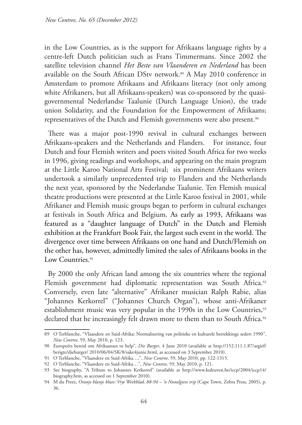in the Low Countries, as is the support for Afrikaans language rights by a centre-left Dutch politician such as Frans Timmermans. Since 2002 the satellite television channel *Het Beste van Vlaanderen en Nederland* has been available on the South African DStv network.<sup>89</sup> A May 2010 conference in Amsterdam to promote Afrikaans and Afrikaans literacy (not only among white Afrikaners, but all Afrikaans-speakers) was co-sponsored by the quasigovernmental Nederlandse Taalunie (Dutch Language Union), the trade union Solidarity, and the Foundation for the Empowerment of Afrikaans; representatives of the Dutch and Flemish governments were also present.<sup>90</sup>

There was a major post-1990 revival in cultural exchanges between Afrikaans-speakers and the Netherlands and Flanders. For instance, four Dutch and four Flemish writers and poets visited South Africa for two weeks in 1996, giving readings and workshops, and appearing on the main program at the Little Karoo National Arts Festival; six prominent Afrikaans writers undertook a similarly unprecedented trip to Flanders and the Netherlands the next year, sponsored by the Nederlandse Taalunie. Ten Flemish musical theatre productions were presented at the Little Karoo festival in 2001, while Afrikaner and Flemish music groups began to perform in cultural exchanges at festivals in South Africa and Belgium. As early as 1993, Afrikaans was featured as a "daughter language of Dutch" in the Dutch and Flemish exhibition at the Frankfurt Book Fair, the largest such event in the world. The divergence over time between Afrikaans on one hand and Dutch/Flemish on the other has, however, admittedly limited the sales of Afrikaans books in the Low Countries.<sup>91</sup>

By 2000 the only African land among the six countries where the regional Flemish government had diplomatic representation was South Africa.<sup>92</sup> Conversely, even late "alternative" Afrikaner musician Ralph Rabie, alias "Johannes Kerkorrel" ("Johannes Church Organ"), whose anti-Afrikaner establishment music was very popular in the 1990s in the Low Countries,<sup>93</sup> declared that he increasingly felt drawn more to them than to South Africa.<sup>94</sup>

<sup>89</sup> O Terblanche, "Vlaandere en Suid-Afrika: Normalisering van politieke en kulturele betrekkinge sedert 1990", *New Contree,* 59, May 2010, p. 123.

<sup>90</sup> Europeërs bereid om Afrikaanses to help", *Die Burger*, 4 June 2010 (available at http://152.111.1.87/argief/ berigte/dieburger/ 2010/06/04/SK/8/sake4junie.html, as accessed on 3 September 2010).

<sup>91</sup> O Terblanche, "Vlaandere en Suid-Afrika…,", *New Contree,* 59, May 2010, pp. 122-1315.

<sup>92</sup> O Terblanche, "Vlaandere en Suid-Afrika…", *New Contree,* 59, May 2010, p. 121.

<sup>93</sup> See biography, "A Tribute to Johannes Kerkorrel" (available at http://www.kuleuven.be/iccp/2004/iccp14/ biography.htm, as accessed on 1 September 2010).

<sup>94</sup> M du Preez, *Oranje blanje blues: Vrye Weekblad, 88-94 – 'n Nostalgiese trip* (Cape Town, Zebra Press, 2005), p. 36.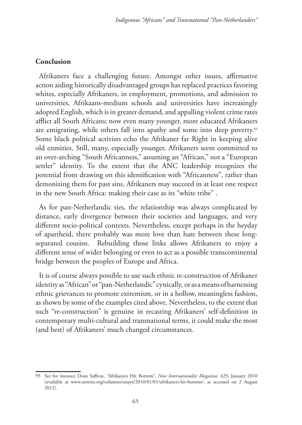# **Conclusion**

Afrikaners face a challenging future. Amongst other issues, affirmative action aiding historically disadvantaged groups has replaced practices favoring whites, especially Afrikaners, in employment, promotions, and admission to universities, Afrikaans-medium schools and universities have increasingly adopted English, which is in greater demand, and appalling violent crime rates afflict all South Africans; now even many younger, more educated Afrikaners are emigrating, while others fall into apathy and some into deep poverty.<sup>95</sup> Some black political activists echo the Afrikaner far Right in keeping alive old enmities. Still, many, especially younger, Afrikaners seem committed to an over-arching "South Africanness," assuming an "African," not a "European settler" identity. To the extent that the ANC leadership recognizes the potential from drawing on this identification with "Africanness", rather than demonizing them for past sins, Afrikaners may succeed in at least one respect in the new South Africa: making their case as its "white tribe" .

As for pan-Netherlandic ties, the relationship was always complicated by distance, early divergence between their societies and languages, and very different socio-political contexts. Nevertheless, except perhaps in the heyday of apartheid, there probably was more love than hate between these longseparated cousins. Rebuilding those links allows Afrikaners to enjoy a different sense of wider belonging or even to act as a possible transcontinental bridge between the peoples of Europe and Africa.

It is of course always possible to use such ethnic re-construction of Afrikaner identity as "African" or "pan-Netherlandic" cynically, or as a means of harnessing ethnic grievances to promote extremism, or in a hollow, meaningless fashion, as shown by some of the examples cited above. Nevertheless, to the extent that such "re-construction" is genuine in recasting Afrikaners' self-definition in contemporary multi-cultural and transnational terms, it could make the most (and best) of Afrikaners' much changed circumstances.

<sup>95</sup> See for instance Dean Saffron, "Afrikaners Hit Bottom", *New Internationalist Magazine,* 429, January 2010 (available at www.newint.org/columns/essays/2010/01/01/afrikaners-hit-bottom/, as accessed on 2 August 2012).